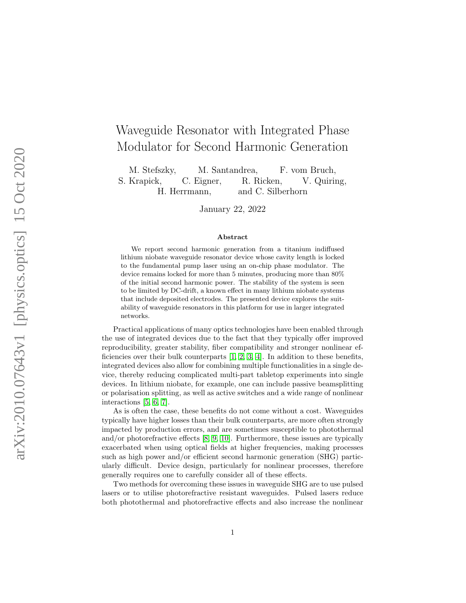# Waveguide Resonator with Integrated Phase Modulator for Second Harmonic Generation

M. Stefszky, M. Santandrea, F. vom Bruch, S. Krapick, C. Eigner, R. Ricken, V. Quiring, H. Herrmann, and C. Silberhorn

January 22, 2022

#### Abstract

We report second harmonic generation from a titanium indiffused lithium niobate waveguide resonator device whose cavity length is locked to the fundamental pump laser using an on-chip phase modulator. The device remains locked for more than 5 minutes, producing more than 80% of the initial second harmonic power. The stability of the system is seen to be limited by DC-drift, a known effect in many lithium niobate systems that include deposited electrodes. The presented device explores the suitability of waveguide resonators in this platform for use in larger integrated networks.

Practical applications of many optics technologies have been enabled through the use of integrated devices due to the fact that they typically offer improved reproducibility, greater stability, fiber compatibility and stronger nonlinear efficiencies over their bulk counterparts  $[1, 2, 3, 4]$  $[1, 2, 3, 4]$  $[1, 2, 3, 4]$  $[1, 2, 3, 4]$ . In addition to these benefits, integrated devices also allow for combining multiple functionalities in a single device, thereby reducing complicated multi-part tabletop experiments into single devices. In lithium niobate, for example, one can include passive beamsplitting or polarisation splitting, as well as active switches and a wide range of nonlinear interactions [\[5,](#page-11-4) [6,](#page-12-0) [7\]](#page-12-1).

As is often the case, these benefits do not come without a cost. Waveguides typically have higher losses than their bulk counterparts, are more often strongly impacted by production errors, and are sometimes susceptible to photothermal and/or photorefractive effects [\[8,](#page-12-2) [9,](#page-12-3) [10\]](#page-12-4). Furthermore, these issues are typically exacerbated when using optical fields at higher frequencies, making processes such as high power and/or efficient second harmonic generation (SHG) particularly difficult. Device design, particularly for nonlinear processes, therefore generally requires one to carefully consider all of these effects.

Two methods for overcoming these issues in waveguide SHG are to use pulsed lasers or to utilise photorefractive resistant waveguides. Pulsed lasers reduce both photothermal and photorefractive effects and also increase the nonlinear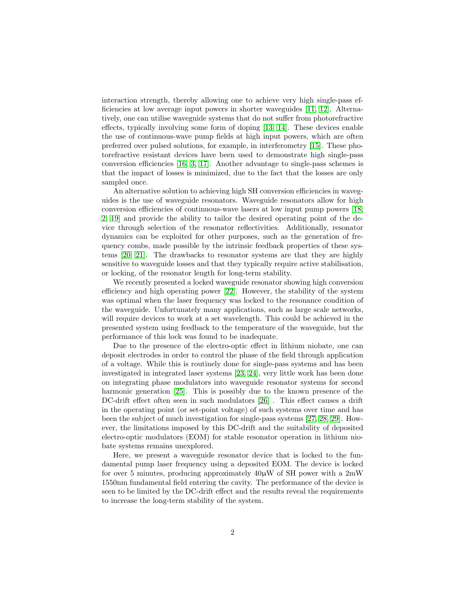interaction strength, thereby allowing one to achieve very high single-pass efficiencies at low average input powers in shorter waveguides [\[11,](#page-12-5) [12\]](#page-12-6). Alternatively, one can utilise waveguide systems that do not suffer from photorefractive effects, typically involving some form of doping [\[13,](#page-12-7) [14\]](#page-12-8). These devices enable the use of continuous-wave pump fields at high input powers, which are often preferred over pulsed solutions, for example, in interferometry [\[15\]](#page-12-9). These photorefractive resistant devices have been used to demonstrate high single-pass conversion efficiencies [\[16,](#page-12-10) [3,](#page-11-2) [17\]](#page-12-11). Another advantage to single-pass schemes is that the impact of losses is minimized, due to the fact that the losses are only sampled once.

An alternative solution to achieving high SH conversion efficiencies in waveguides is the use of waveguide resonators. Waveguide resonators allow for high conversion efficiencies of continuous-wave lasers at low input pump powers [\[18,](#page-13-0) [2,](#page-11-1) [19\]](#page-13-1) and provide the ability to tailor the desired operating point of the device through selection of the resonator reflectivities. Additionally, resonator dynamics can be exploited for other purposes, such as the generation of frequency combs, made possible by the intrinsic feedback properties of these systems [\[20,](#page-13-2) [21\]](#page-13-3). The drawbacks to resonator systems are that they are highly sensitive to waveguide losses and that they typically require active stabilisation, or locking, of the resonator length for long-term stability.

We recently presented a locked waveguide resonator showing high conversion efficiency and high operating power [\[22\]](#page-13-4). However, the stability of the system was optimal when the laser frequency was locked to the resonance condition of the waveguide. Unfortunately many applications, such as large scale networks, will require devices to work at a set wavelength. This could be achieved in the presented system using feedback to the temperature of the waveguide, but the performance of this lock was found to be inadequate.

Due to the presence of the electro-optic effect in lithium niobate, one can deposit electrodes in order to control the phase of the field through application of a voltage. While this is routinely done for single-pass systems and has been investigated in integrated laser systems [\[23,](#page-13-5) [24\]](#page-13-6), very little work has been done on integrating phase modulators into waveguide resonator systems for second harmonic generation [\[25\]](#page-13-7). This is possibly due to the known presence of the DC-drift effect often seen in such modulators [\[26\]](#page-13-8) . This effect causes a drift in the operating point (or set-point voltage) of such systems over time and has been the subject of much investigation for single-pass systems [\[27,](#page-13-9) [28,](#page-13-10) [29\]](#page-13-11). However, the limitations imposed by this DC-drift and the suitability of deposited electro-optic modulators (EOM) for stable resonator operation in lithium niobate systems remains unexplored.

Here, we present a waveguide resonator device that is locked to the fundamental pump laser frequency using a deposited EOM. The device is locked for over 5 minutes, producing approximately  $40\mu$ W of SH power with a  $2m$ W 1550nm fundamental field entering the cavity. The performance of the device is seen to be limited by the DC-drift effect and the results reveal the requirements to increase the long-term stability of the system.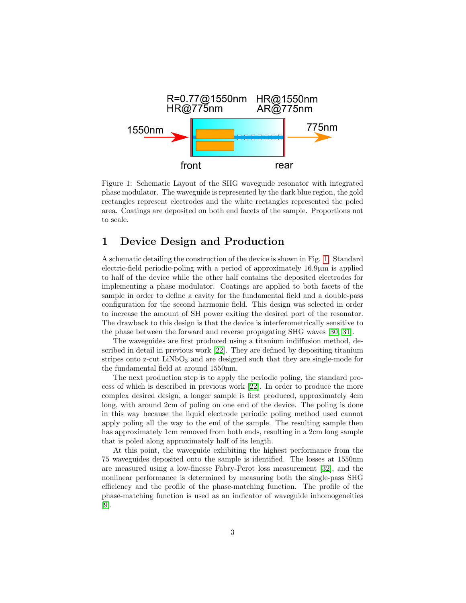

<span id="page-2-0"></span>Figure 1: Schematic Layout of the SHG waveguide resonator with integrated phase modulator. The waveguide is represented by the dark blue region, the gold rectangles represent electrodes and the white rectangles represented the poled area. Coatings are deposited on both end facets of the sample. Proportions not to scale.

# 1 Device Design and Production

A schematic detailing the construction of the device is shown in Fig. [1.](#page-2-0) Standard electric-field periodic-poling with a period of approximately 16.9µm is applied to half of the device while the other half contains the deposited electrodes for implementing a phase modulator. Coatings are applied to both facets of the sample in order to define a cavity for the fundamental field and a double-pass configuration for the second harmonic field. This design was selected in order to increase the amount of SH power exiting the desired port of the resonator. The drawback to this design is that the device is interferometrically sensitive to the phase between the forward and reverse propagating SHG waves [\[30,](#page-14-0) [31\]](#page-14-1).

The waveguides are first produced using a titanium indiffusion method, described in detail in previous work [\[22\]](#page-13-4). They are defined by depositing titanium stripes onto z-cut  $LiNbO<sub>3</sub>$  and are designed such that they are single-mode for the fundamental field at around 1550nm.

The next production step is to apply the periodic poling, the standard process of which is described in previous work [\[22\]](#page-13-4). In order to produce the more complex desired design, a longer sample is first produced, approximately 4cm long, with around 2cm of poling on one end of the device. The poling is done in this way because the liquid electrode periodic poling method used cannot apply poling all the way to the end of the sample. The resulting sample then has approximately 1cm removed from both ends, resulting in a 2cm long sample that is poled along approximately half of its length.

At this point, the waveguide exhibiting the highest performance from the 75 waveguides deposited onto the sample is identified. The losses at 1550nm are measured using a low-finesse Fabry-Perot loss measurement [\[32\]](#page-14-2), and the nonlinear performance is determined by measuring both the single-pass SHG efficiency and the profile of the phase-matching function. The profile of the phase-matching function is used as an indicator of waveguide inhomogeneities [\[9\]](#page-12-3).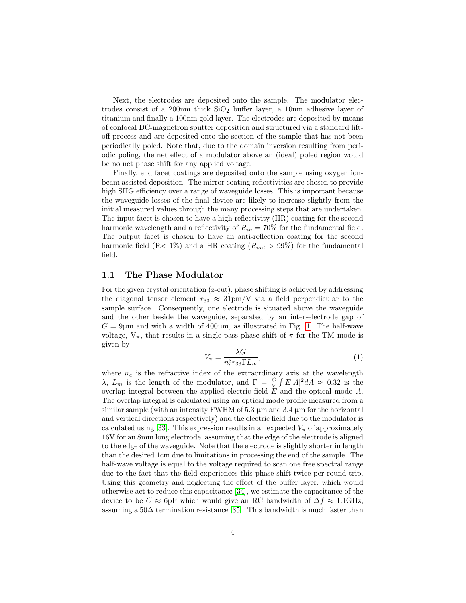Next, the electrodes are deposited onto the sample. The modulator electrodes consist of a 200nm thick  $SiO<sub>2</sub>$  buffer layer, a 10nm adhesive layer of titanium and finally a 100nm gold layer. The electrodes are deposited by means of confocal DC-magnetron sputter deposition and structured via a standard liftoff process and are deposited onto the section of the sample that has not been periodically poled. Note that, due to the domain inversion resulting from periodic poling, the net effect of a modulator above an (ideal) poled region would be no net phase shift for any applied voltage.

Finally, end facet coatings are deposited onto the sample using oxygen ionbeam assisted deposition. The mirror coating reflectivities are chosen to provide high SHG efficiency over a range of waveguide losses. This is important because the waveguide losses of the final device are likely to increase slightly from the initial measured values through the many processing steps that are undertaken. The input facet is chosen to have a high reflectivity (HR) coating for the second harmonic wavelength and a reflectivity of  $R_{in} = 70\%$  for the fundamental field. The output facet is chosen to have an anti-reflection coating for the second harmonic field  $(R< 1\%)$  and a HR coating  $(R_{out} > 99\%)$  for the fundamental field.

### 1.1 The Phase Modulator

For the given crystal orientation (z-cut), phase shifting is achieved by addressing the diagonal tensor element  $r_{33} \approx 31 \text{pm/V}$  via a field perpendicular to the sample surface. Consequently, one electrode is situated above the waveguide and the other beside the waveguide, separated by an inter-electrode gap of  $G = 9\mu$ m and with a width of 400 $\mu$ m, as illustrated in Fig. [1.](#page-2-0) The half-wave voltage,  $V_{\pi}$ , that results in a single-pass phase shift of  $\pi$  for the TM mode is given by

<span id="page-3-0"></span>
$$
V_{\pi} = \frac{\lambda G}{n_e^3 r_{33} \Gamma L_m},\tag{1}
$$

where  $n_e$  is the refractive index of the extraordinary axis at the wavelength λ,  $L_m$  is the length of the modulator, and  $\Gamma = \frac{G}{V} \int E|A|^2 dA \approx 0.32$  is the overlap integral between the applied electric field E and the optical mode A. The overlap integral is calculated using an optical mode profile measured from a similar sample (with an intensity FWHM of 5.3  $\mu$ m and 3.4  $\mu$ m for the horizontal and vertical directions respectively) and the electric field due to the modulator is calculated using [\[33\]](#page-14-3). This expression results in an expected  $V_{\pi}$  of approximately 16V for an 8mm long electrode, assuming that the edge of the electrode is aligned to the edge of the waveguide. Note that the electrode is slightly shorter in length than the desired 1cm due to limitations in processing the end of the sample. The half-wave voltage is equal to the voltage required to scan one free spectral range due to the fact that the field experiences this phase shift twice per round trip. Using this geometry and neglecting the effect of the buffer layer, which would otherwise act to reduce this capacitance [\[34\]](#page-14-4), we estimate the capacitance of the device to be  $C \approx 6p$ F which would give an RC bandwidth of  $\Delta f \approx 1.1$ GHz, assuming a 50∆ termination resistance [\[35\]](#page-14-5). This bandwidth is much faster than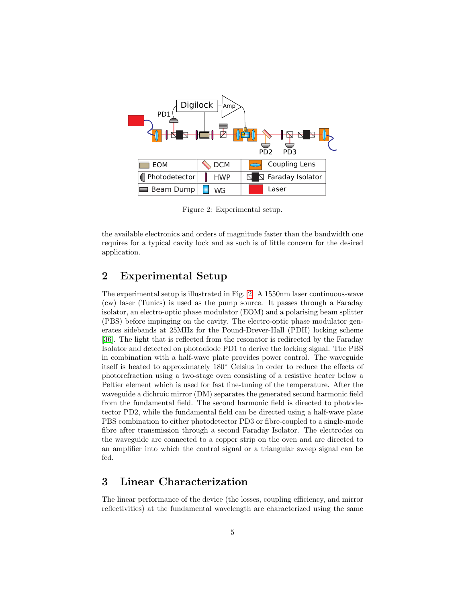

<span id="page-4-0"></span>Figure 2: Experimental setup.

the available electronics and orders of magnitude faster than the bandwidth one requires for a typical cavity lock and as such is of little concern for the desired application.

# 2 Experimental Setup

The experimental setup is illustrated in Fig. [2.](#page-4-0) A 1550nm laser continuous-wave (cw) laser (Tunics) is used as the pump source. It passes through a Faraday isolator, an electro-optic phase modulator (EOM) and a polarising beam splitter (PBS) before impinging on the cavity. The electro-optic phase modulator generates sidebands at 25MHz for the Pound-Drever-Hall (PDH) locking scheme [\[36\]](#page-14-6). The light that is reflected from the resonator is redirected by the Faraday Isolator and detected on photodiode PD1 to derive the locking signal. The PBS in combination with a half-wave plate provides power control. The waveguide itself is heated to approximately 180◦ Celsius in order to reduce the effects of photorefraction using a two-stage oven consisting of a resistive heater below a Peltier element which is used for fast fine-tuning of the temperature. After the waveguide a dichroic mirror (DM) separates the generated second harmonic field from the fundamental field. The second harmonic field is directed to photodetector PD2, while the fundamental field can be directed using a half-wave plate PBS combination to either photodetector PD3 or fibre-coupled to a single-mode fibre after transmission through a second Faraday Isolator. The electrodes on the waveguide are connected to a copper strip on the oven and are directed to an amplifier into which the control signal or a triangular sweep signal can be fed.

# 3 Linear Characterization

The linear performance of the device (the losses, coupling efficiency, and mirror reflectivities) at the fundamental wavelength are characterized using the same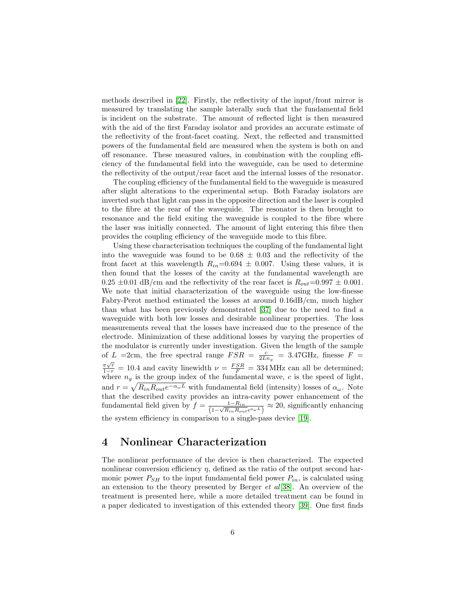methods described in [\[22\]](#page-13-4). Firstly, the reflectivity of the input/front mirror is measured by translating the sample laterally such that the fundamental field is incident on the substrate. The amount of reflected light is then measured with the aid of the first Faraday isolator and provides an accurate estimate of the reflectivity of the front-facet coating. Next, the reflected and transmitted powers of the fundamental field are measured when the system is both on and off resonance. These measured values, in combination with the coupling efficiency of the fundamental field into the waveguide, can be used to determine the reflectivity of the output/rear facet and the internal losses of the resonator.

The coupling efficiency of the fundamental field to the waveguide is measured after slight alterations to the experimental setup. Both Faraday isolators are inverted such that light can pass in the opposite direction and the laser is coupled to the fibre at the rear of the waveguide. The resonator is then brought to resonance and the field exiting the waveguide is coupled to the fibre where the laser was initially connected. The amount of light entering this fibre then provides the coupling efficiency of the waveguide mode to this fibre.

Using these characterisation techniques the coupling of the fundamental light into the waveguide was found to be  $0.68 \pm 0.03$  and the reflectivity of the front facet at this wavelength  $R_{in}=0.694 \pm 0.007$ . Using these values, it is then found that the losses of the cavity at the fundamental wavelength are  $0.25 \pm 0.01$  dB/cm and the reflectivity of the rear facet is  $R_{out} = 0.997 \pm 0.001$ . We note that initial characterization of the waveguide using the low-finesse Fabry-Perot method estimated the losses at around 0.16dB/cm, much higher than what has been previously demonstrated [\[37\]](#page-14-7) due to the need to find a waveguide with both low losses and desirable nonlinear properties. The loss measurements reveal that the losses have increased due to the presence of the electrode. Minimization of these additional losses by varying the properties of the modulator is currently under investigation. Given the length of the sample of L = 2cm, the free spectral range  $FSR = \frac{c}{2Ln_g} = 3.47 \text{GHz}$ , finesse  $F =$  $\frac{\pi\sqrt{r}}{1-r} = 10.4$  and cavity linewidth  $\nu = \frac{FSR}{F} = 334 \text{ MHz}$  can all be determined; where  $n<sub>g</sub>$  is the group index of the fundamental wave, c is the speed of light, and  $r = \sqrt{R_{in}R_{out}e^{-\alpha_{\omega}L}}$  with fundamental field (intensity) losses of  $\alpha_{\omega}$ . Note that the described cavity provides an intra-cavity power enhancement of the fundamental field given by  $f = \frac{1 - R_{in}}{(1 - \sqrt{R_{in}R_{out}e^{a_{\omega}L}})} \approx 20$ , significantly enhancing the system efficiency in comparison to a single-pass device [\[19\]](#page-13-1).

### 4 Nonlinear Characterization

The nonlinear performance of the device is then characterized. The expected nonlinear conversion efficiency  $\eta$ , defined as the ratio of the output second harmonic power  $P_{SH}$  to the input fundamental field power  $P_{in}$ , is calculated using an extension to the theory presented by Berger  $et al[38]$  $et al[38]$ . An overview of the treatment is presented here, while a more detailed treatment can be found in a paper dedicated to investigation of this extended theory [\[39\]](#page-14-9). One first finds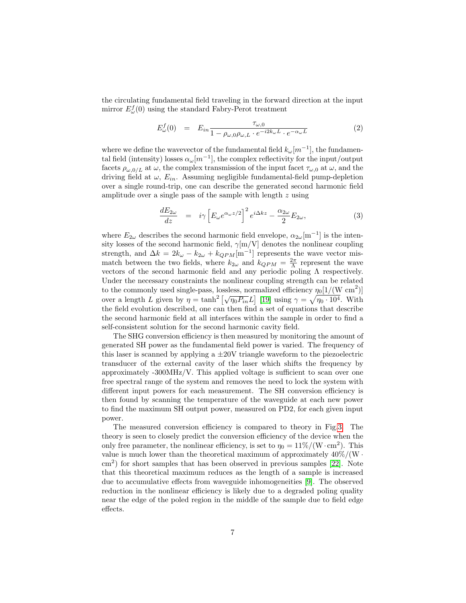the circulating fundamental field traveling in the forward direction at the input mirror  $E_{\omega}^{f}(0)$  using the standard Fabry-Perot treatment

$$
E_{\omega}^{f}(0) = E_{in} \frac{\tau_{\omega,0}}{1 - \rho_{\omega,0}\rho_{\omega,L} \cdot e^{-i2k_{\omega}L} \cdot e^{-\alpha_{\omega}L}}
$$
(2)

where we define the wavevector of the fundamental field  $k_{\omega}[m^{-1}]$ , the fundamental field (intensity) losses  $\alpha_{\omega}[m^{-1}]$ , the complex reflectivity for the input/output facets  $\rho_{\omega,0/L}$  at  $\omega$ , the complex transmission of the input facet  $\tau_{\omega,0}$  at  $\omega$ , and the driving field at  $\omega$ ,  $E_{in}$ . Assuming negligible fundamental-field pump-depletion over a single round-trip, one can describe the generated second harmonic field amplitude over a single pass of the sample with length  $z$  using

$$
\frac{dE_{2\omega}}{dz} = i\gamma \left[ E_{\omega} e^{\alpha_{\omega} z/2} \right]^2 e^{i\Delta kz} - \frac{\alpha_{2\omega}}{2} E_{2\omega},\tag{3}
$$

where  $E_{2\omega}$  describes the second harmonic field envelope,  $\alpha_{2\omega}$ [m<sup>-1</sup>] is the intensity losses of the second harmonic field,  $\gamma$ [m/V] denotes the nonlinear coupling strength, and  $\Delta k = 2k_{\omega} - k_{2\omega} + k_{QPM}[\text{m}^{-1}]$  represents the wave vector mismatch between the two fields, where  $k_{2\omega}$  and  $k_{QPM} = \frac{2\pi}{\Lambda}$  represent the wave vectors of the second harmonic field and any periodic poling  $\Lambda$  respectively. Under the necessary constraints the nonlinear coupling strength can be related to the commonly used single-pass, lossless, normalized efficiency  $\eta_0[1/(W \text{ cm}^2)]$ to the commonly used single-pass, hossiess, hormanized emerging  $\eta_{0}$ [1/(w cm )]<br>over a length L given by  $\eta = \tanh^2[\sqrt{\eta_0 P_{in}}L]$  [\[19\]](#page-13-1) using  $\gamma = \sqrt{\eta_0 \cdot 10^4}$ . With the field evolution described, one can then find a set of equations that describe the second harmonic field at all interfaces within the sample in order to find a self-consistent solution for the second harmonic cavity field.

The SHG conversion efficiency is then measured by monitoring the amount of generated SH power as the fundamental field power is varied. The frequency of this laser is scanned by applying a  $\pm 20V$  triangle waveform to the piezoelectric transducer of the external cavity of the laser which shifts the frequency by approximately -300MHz/V. This applied voltage is sufficient to scan over one free spectral range of the system and removes the need to lock the system with different input powers for each measurement. The SH conversion efficiency is then found by scanning the temperature of the waveguide at each new power to find the maximum SH output power, measured on PD2, for each given input power.

The measured conversion efficiency is compared to theory in Fig[.3.](#page-7-0) The theory is seen to closely predict the conversion efficiency of the device when the only free parameter, the nonlinear efficiency, is set to  $\eta_0 = 11\% / (\text{W} \cdot \text{cm}^2)$ . This value is much lower than the theoretical maximum of approximately  $40\% / (W \cdot$ cm<sup>2</sup> ) for short samples that has been observed in previous samples [\[22\]](#page-13-4). Note that this theoretical maximum reduces as the length of a sample is increased due to accumulative effects from waveguide inhomogeneities [\[9\]](#page-12-3). The observed reduction in the nonlinear efficiency is likely due to a degraded poling quality near the edge of the poled region in the middle of the sample due to field edge effects.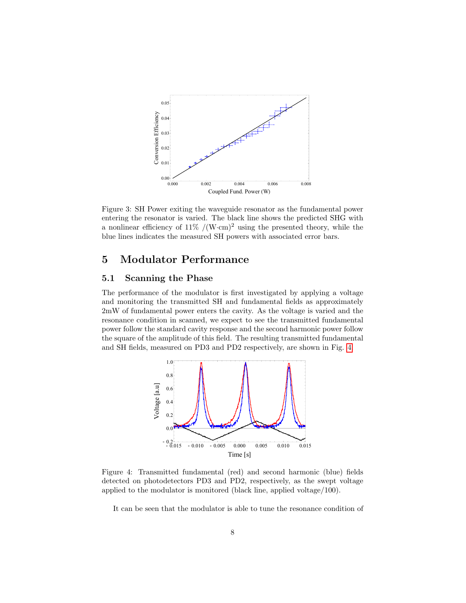

<span id="page-7-0"></span>Figure 3: SH Power exiting the waveguide resonator as the fundamental power entering the resonator is varied. The black line shows the predicted SHG with a nonlinear efficiency of  $11\%$  /(W·cm)<sup>2</sup> using the presented theory, while the blue lines indicates the measured SH powers with associated error bars.

# 5 Modulator Performance

### 5.1 Scanning the Phase

The performance of the modulator is first investigated by applying a voltage and monitoring the transmitted SH and fundamental fields as approximately 2mW of fundamental power enters the cavity. As the voltage is varied and the resonance condition in scanned, we expect to see the transmitted fundamental power follow the standard cavity response and the second harmonic power follow the square of the amplitude of this field. The resulting transmitted fundamental and SH fields, measured on PD3 and PD2 respectively, are shown in Fig. [4.](#page-7-1)



<span id="page-7-1"></span>Figure 4: Transmitted fundamental (red) and second harmonic (blue) fields detected on photodetectors PD3 and PD2, respectively, as the swept voltage applied to the modulator is monitored (black line, applied voltage/100).

It can be seen that the modulator is able to tune the resonance condition of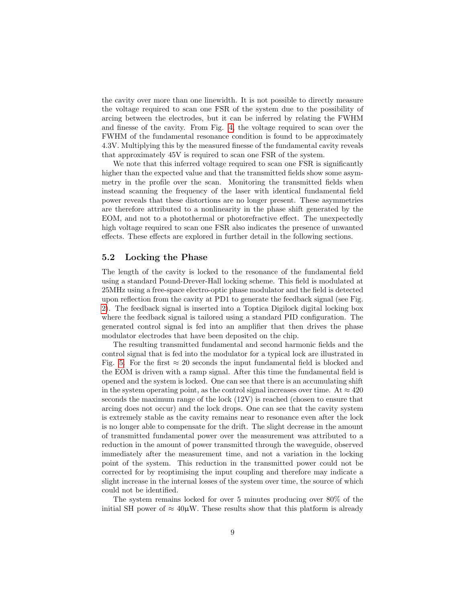the cavity over more than one linewidth. It is not possible to directly measure the voltage required to scan one FSR of the system due to the possibility of arcing between the electrodes, but it can be inferred by relating the FWHM and finesse of the cavity. From Fig. [4,](#page-7-1) the voltage required to scan over the FWHM of the fundamental resonance condition is found to be approximately 4.3V. Multiplying this by the measured finesse of the fundamental cavity reveals that approximately 45V is required to scan one FSR of the system.

We note that this inferred voltage required to scan one FSR is significantly higher than the expected value and that the transmitted fields show some asymmetry in the profile over the scan. Monitoring the transmitted fields when instead scanning the frequency of the laser with identical fundamental field power reveals that these distortions are no longer present. These asymmetries are therefore attributed to a nonlinearity in the phase shift generated by the EOM, and not to a photothermal or photorefractive effect. The unexpectedly high voltage required to scan one FSR also indicates the presence of unwanted effects. These effects are explored in further detail in the following sections.

### 5.2 Locking the Phase

The length of the cavity is locked to the resonance of the fundamental field using a standard Pound-Drever-Hall locking scheme. This field is modulated at 25MHz using a free-space electro-optic phase modulator and the field is detected upon reflection from the cavity at PD1 to generate the feedback signal (see Fig. [2\)](#page-4-0). The feedback signal is inserted into a Toptica Digilock digital locking box where the feedback signal is tailored using a standard PID configuration. The generated control signal is fed into an amplifier that then drives the phase modulator electrodes that have been deposited on the chip.

The resulting transmitted fundamental and second harmonic fields and the control signal that is fed into the modulator for a typical lock are illustrated in Fig. [5.](#page-9-0) For the first  $\approx 20$  seconds the input fundamental field is blocked and the EOM is driven with a ramp signal. After this time the fundamental field is opened and the system is locked. One can see that there is an accumulating shift in the system operating point, as the control signal increases over time. At  $\approx 420$ seconds the maximum range of the lock (12V) is reached (chosen to ensure that arcing does not occur) and the lock drops. One can see that the cavity system is extremely stable as the cavity remains near to resonance even after the lock is no longer able to compensate for the drift. The slight decrease in the amount of transmitted fundamental power over the measurement was attributed to a reduction in the amount of power transmitted through the waveguide, observed immediately after the measurement time, and not a variation in the locking point of the system. This reduction in the transmitted power could not be corrected for by reoptimising the input coupling and therefore may indicate a slight increase in the internal losses of the system over time, the source of which could not be identified.

The system remains locked for over 5 minutes producing over 80% of the initial SH power of  $\approx 40 \mu$ W. These results show that this platform is already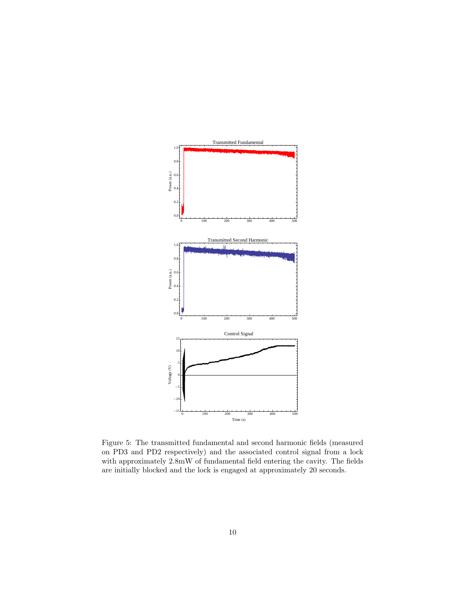

<span id="page-9-0"></span>Figure 5: The transmitted fundamental and second harmonic fields (measured on PD3 and PD2 respectively) and the associated control signal from a lock with approximately 2.8mW of fundamental field entering the cavity. The fields are initially blocked and the lock is engaged at approximately 20 seconds.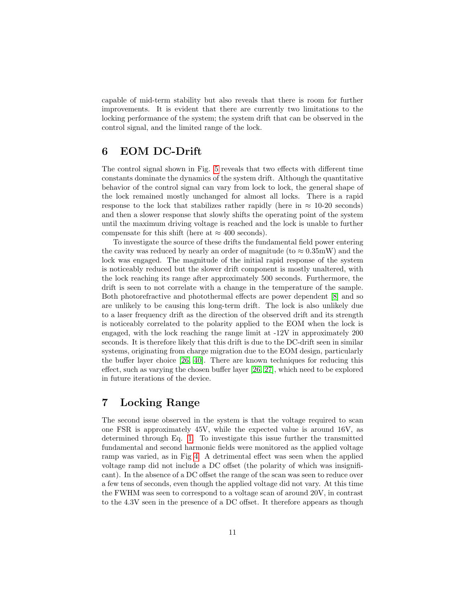capable of mid-term stability but also reveals that there is room for further improvements. It is evident that there are currently two limitations to the locking performance of the system; the system drift that can be observed in the control signal, and the limited range of the lock.

# 6 EOM DC-Drift

The control signal shown in Fig. [5](#page-9-0) reveals that two effects with different time constants dominate the dynamics of the system drift. Although the quantitative behavior of the control signal can vary from lock to lock, the general shape of the lock remained mostly unchanged for almost all locks. There is a rapid response to the lock that stabilizes rather rapidly (here in  $\approx 10{\text -}20$  seconds) and then a slower response that slowly shifts the operating point of the system until the maximum driving voltage is reached and the lock is unable to further compensate for this shift (here at  $\approx 400$  seconds).

To investigate the source of these drifts the fundamental field power entering the cavity was reduced by nearly an order of magnitude (to  $\approx 0.35$ mW) and the lock was engaged. The magnitude of the initial rapid response of the system is noticeably reduced but the slower drift component is mostly unaltered, with the lock reaching its range after approximately 500 seconds. Furthermore, the drift is seen to not correlate with a change in the temperature of the sample. Both photorefractive and photothermal effects are power dependent [\[8\]](#page-12-2) and so are unlikely to be causing this long-term drift. The lock is also unlikely due to a laser frequency drift as the direction of the observed drift and its strength is noticeably correlated to the polarity applied to the EOM when the lock is engaged, with the lock reaching the range limit at -12V in approximately 200 seconds. It is therefore likely that this drift is due to the DC-drift seen in similar systems, originating from charge migration due to the EOM design, particularly the buffer layer choice [\[26,](#page-13-8) [40\]](#page-14-10). There are known techniques for reducing this effect, such as varying the chosen buffer layer [\[26,](#page-13-8) [27\]](#page-13-9), which need to be explored in future iterations of the device.

# 7 Locking Range

The second issue observed in the system is that the voltage required to scan one FSR is approximately 45V, while the expected value is around 16V, as determined through Eq. [1.](#page-3-0) To investigate this issue further the transmitted fundamental and second harmonic fields were monitored as the applied voltage ramp was varied, as in Fig [4.](#page-7-1) A detrimental effect was seen when the applied voltage ramp did not include a DC offset (the polarity of which was insignificant). In the absence of a DC offset the range of the scan was seen to reduce over a few tens of seconds, even though the applied voltage did not vary. At this time the FWHM was seen to correspond to a voltage scan of around 20V, in contrast to the 4.3V seen in the presence of a DC offset. It therefore appears as though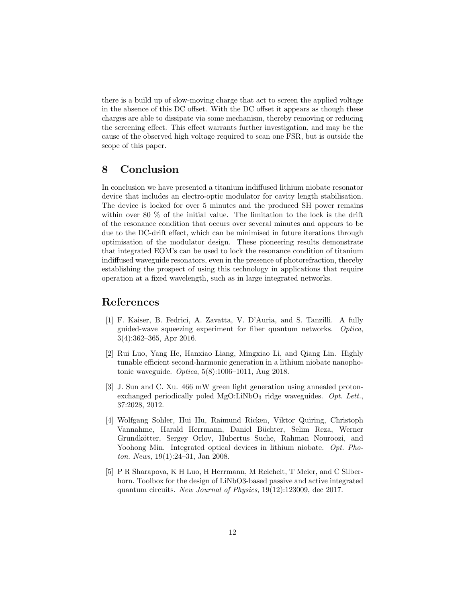there is a build up of slow-moving charge that act to screen the applied voltage in the absence of this DC offset. With the DC offset it appears as though these charges are able to dissipate via some mechanism, thereby removing or reducing the screening effect. This effect warrants further investigation, and may be the cause of the observed high voltage required to scan one FSR, but is outside the scope of this paper.

# 8 Conclusion

In conclusion we have presented a titanium indiffused lithium niobate resonator device that includes an electro-optic modulator for cavity length stabilisation. The device is locked for over 5 minutes and the produced SH power remains within over 80 % of the initial value. The limitation to the lock is the drift of the resonance condition that occurs over several minutes and appears to be due to the DC-drift effect, which can be minimised in future iterations through optimisation of the modulator design. These pioneering results demonstrate that integrated EOM's can be used to lock the resonance condition of titanium indiffused waveguide resonators, even in the presence of photorefraction, thereby establishing the prospect of using this technology in applications that require operation at a fixed wavelength, such as in large integrated networks.

### References

- <span id="page-11-0"></span>[1] F. Kaiser, B. Fedrici, A. Zavatta, V. D'Auria, and S. Tanzilli. A fully guided-wave squeezing experiment for fiber quantum networks. Optica, 3(4):362–365, Apr 2016.
- <span id="page-11-1"></span>[2] Rui Luo, Yang He, Hanxiao Liang, Mingxiao Li, and Qiang Lin. Highly tunable efficient second-harmonic generation in a lithium niobate nanophotonic waveguide. Optica, 5(8):1006–1011, Aug 2018.
- <span id="page-11-2"></span>[3] J. Sun and C. Xu. 466 mW green light generation using annealed protonexchanged periodically poled  $MgO:LiNbO<sub>3</sub>$  ridge waveguides. Opt. Lett., 37:2028, 2012.
- <span id="page-11-3"></span>[4] Wolfgang Sohler, Hui Hu, Raimund Ricken, Viktor Quiring, Christoph Vannahme, Harald Herrmann, Daniel Büchter, Selim Reza, Werner Grundkötter, Sergey Orlov, Hubertus Suche, Rahman Nouroozi, and Yoohong Min. Integrated optical devices in lithium niobate. Opt. Photon. News, 19(1):24–31, Jan 2008.
- <span id="page-11-4"></span>[5] P R Sharapova, K H Luo, H Herrmann, M Reichelt, T Meier, and C Silberhorn. Toolbox for the design of LiNbO3-based passive and active integrated quantum circuits. New Journal of Physics, 19(12):123009, dec 2017.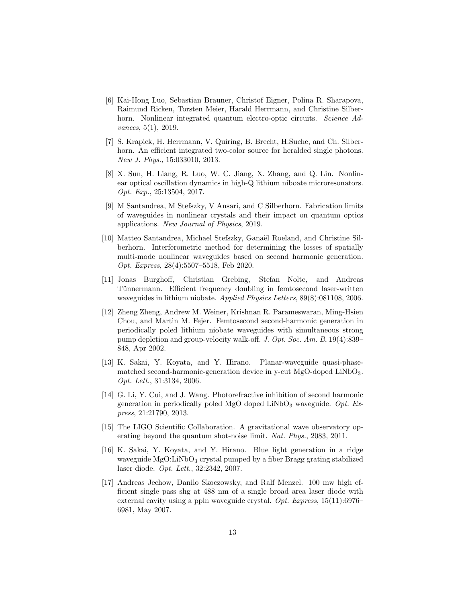- <span id="page-12-0"></span>[6] Kai-Hong Luo, Sebastian Brauner, Christof Eigner, Polina R. Sharapova, Raimund Ricken, Torsten Meier, Harald Herrmann, and Christine Silberhorn. Nonlinear integrated quantum electro-optic circuits. Science Advances, 5(1), 2019.
- <span id="page-12-1"></span>[7] S. Krapick, H. Herrmann, V. Quiring, B. Brecht, H.Suche, and Ch. Silberhorn. An efficient integrated two-color source for heralded single photons. New J. Phys., 15:033010, 2013.
- <span id="page-12-2"></span>[8] X. Sun, H. Liang, R. Luo, W. C. Jiang, X. Zhang, and Q. Lin. Nonlinear optical oscillation dynamics in high-Q lithium niboate microresonators. Opt. Exp., 25:13504, 2017.
- <span id="page-12-3"></span>[9] M Santandrea, M Stefszky, V Ansari, and C Silberhorn. Fabrication limits of waveguides in nonlinear crystals and their impact on quantum optics applications. New Journal of Physics, 2019.
- <span id="page-12-4"></span>[10] Matteo Santandrea, Michael Stefszky, Ganaël Roeland, and Christine Silberhorn. Interferometric method for determining the losses of spatially multi-mode nonlinear waveguides based on second harmonic generation. Opt. Express, 28(4):5507–5518, Feb 2020.
- <span id="page-12-5"></span>[11] Jonas Burghoff, Christian Grebing, Stefan Nolte, and Andreas Tünnermann. Efficient frequency doubling in femtosecond laser-written waveguides in lithium niobate. Applied Physics Letters, 89(8):081108, 2006.
- <span id="page-12-6"></span>[12] Zheng Zheng, Andrew M. Weiner, Krishnan R. Parameswaran, Ming-Hsien Chou, and Martin M. Fejer. Femtosecond second-harmonic generation in periodically poled lithium niobate waveguides with simultaneous strong pump depletion and group-velocity walk-off. J. Opt. Soc. Am. B, 19(4):839– 848, Apr 2002.
- <span id="page-12-7"></span>[13] K. Sakai, Y. Koyata, and Y. Hirano. Planar-waveguide quasi-phasematched second-harmonic-generation device in y-cut MgO-doped LiNbO<sub>3</sub>. Opt. Lett., 31:3134, 2006.
- <span id="page-12-8"></span>[14] G. Li, Y. Cui, and J. Wang. Photorefractive inhibition of second harmonic generation in periodically poled MgO doped LiNbO<sub>3</sub> waveguide. Opt. Express, 21:21790, 2013.
- <span id="page-12-9"></span>[15] The LIGO Scientific Collaboration. A gravitational wave observatory operating beyond the quantum shot-noise limit. Nat. Phys., 2083, 2011.
- <span id="page-12-10"></span>[16] K. Sakai, Y. Koyata, and Y. Hirano. Blue light generation in a ridge waveguide MgO:LiNbO<sub>3</sub> crystal pumped by a fiber Bragg grating stabilized laser diode. Opt. Lett., 32:2342, 2007.
- <span id="page-12-11"></span>[17] Andreas Jechow, Danilo Skoczowsky, and Ralf Menzel. 100 mw high efficient single pass shg at 488 nm of a single broad area laser diode with external cavity using a ppln waveguide crystal. Opt. Express, 15(11):6976– 6981, May 2007.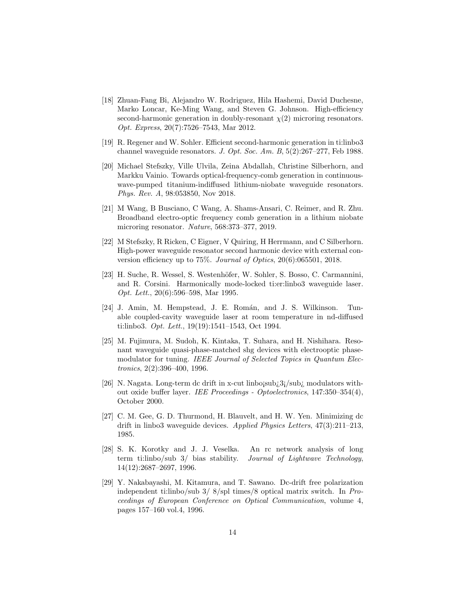- <span id="page-13-0"></span>[18] Zhuan-Fang Bi, Alejandro W. Rodriguez, Hila Hashemi, David Duchesne, Marko Loncar, Ke-Ming Wang, and Steven G. Johnson. High-efficiency second-harmonic generation in doubly-resonant  $\chi(2)$  microring resonators. Opt. Express, 20(7):7526–7543, Mar 2012.
- <span id="page-13-1"></span>[19] R. Regener and W. Sohler. Efficient second-harmonic generation in ti:linbo3 channel waveguide resonators. J. Opt. Soc. Am. B, 5(2):267–277, Feb 1988.
- <span id="page-13-2"></span>[20] Michael Stefszky, Ville Ulvila, Zeina Abdallah, Christine Silberhorn, and Markku Vainio. Towards optical-frequency-comb generation in continuouswave-pumped titanium-indiffused lithium-niobate waveguide resonators. Phys. Rev. A, 98:053850, Nov 2018.
- <span id="page-13-3"></span>[21] M Wang, B Busciano, C Wang, A. Shams-Ansari, C. Reimer, and R. Zhu. Broadband electro-optic frequency comb generation in a lithium niobate microring resonator. Nature, 568:373–377, 2019.
- <span id="page-13-4"></span>[22] M Stefszky, R Ricken, C Eigner, V Quiring, H Herrmann, and C Silberhorn. High-power waveguide resonator second harmonic device with external conversion efficiency up to 75%. Journal of Optics, 20(6):065501, 2018.
- <span id="page-13-5"></span>[23] H. Suche, R. Wessel, S. Westenhöfer, W. Sohler, S. Bosso, C. Carmannini, and R. Corsini. Harmonically mode-locked ti:er:linbo3 waveguide laser. Opt. Lett., 20(6):596–598, Mar 1995.
- <span id="page-13-6"></span>[24] J. Amin, M. Hempstead, J. E. Román, and J. S. Wilkinson. Tunable coupled-cavity waveguide laser at room temperature in nd-diffused ti:linbo3. Opt. Lett., 19(19):1541–1543, Oct 1994.
- <span id="page-13-7"></span>[25] M. Fujimura, M. Sudoh, K. Kintaka, T. Suhara, and H. Nishihara. Resonant waveguide quasi-phase-matched shg devices with electrooptic phasemodulator for tuning. IEEE Journal of Selected Topics in Quantum Electronics, 2(2):396–400, 1996.
- <span id="page-13-8"></span>[26] N. Nagata. Long-term dc drift in x-cut linbo; $\frac{\text{sub}}{2}$ j/sub<sub>i</sub> modulators without oxide buffer layer. IEE Proceedings - Optoelectronics, 147:350–354(4), October 2000.
- <span id="page-13-9"></span>[27] C. M. Gee, G. D. Thurmond, H. Blauvelt, and H. W. Yen. Minimizing dc drift in linbo3 waveguide devices. Applied Physics Letters, 47(3):211–213, 1985.
- <span id="page-13-10"></span>[28] S. K. Korotky and J. J. Veselka. An rc network analysis of long term ti:linbo/sub 3/ bias stability. Journal of Lightwave Technology, 14(12):2687–2697, 1996.
- <span id="page-13-11"></span>[29] Y. Nakabayashi, M. Kitamura, and T. Sawano. Dc-drift free polarization independent ti:linbo/sub 3/ 8/spl times/8 optical matrix switch. In Proceedings of European Conference on Optical Communication, volume 4, pages 157–160 vol.4, 1996.